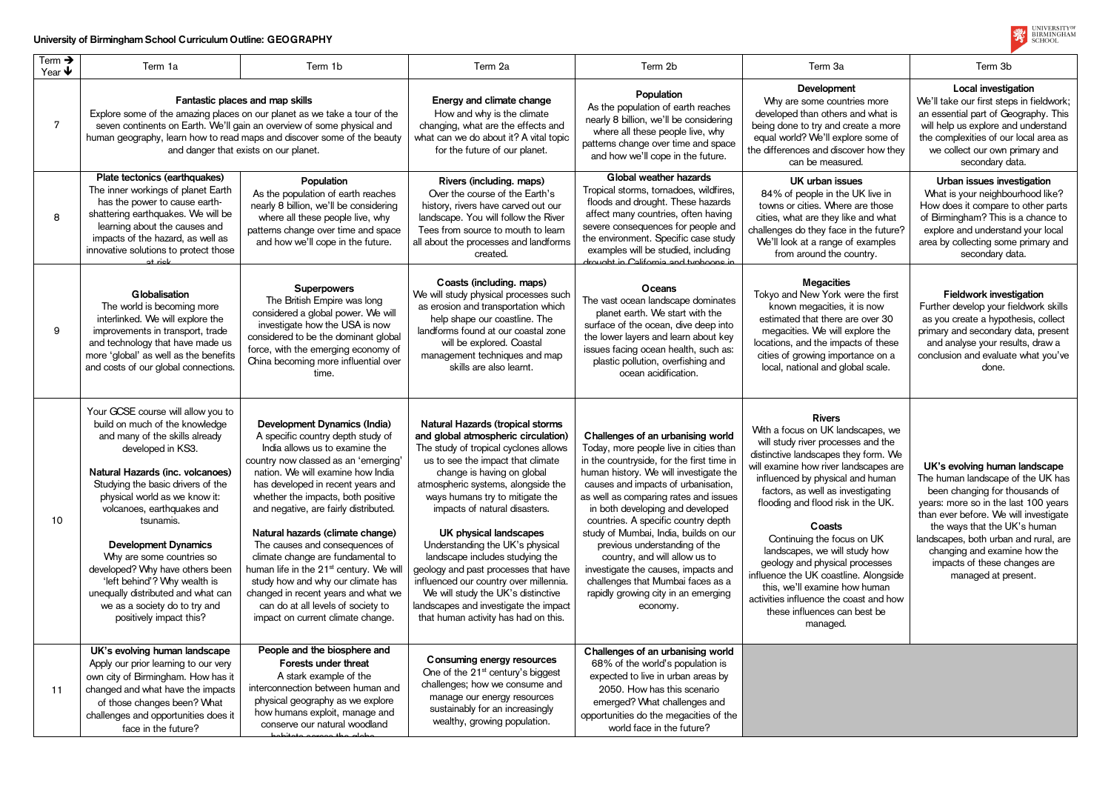## **University of Birmingham School Curriculum Outline: GEOGRAPHY**

| Term $\rightarrow$<br>Year $\blacklozenge$ | Term 1a                                                                                                                                                                                                                                                                                                                                                                                                                                                                                                           | Term 1b                                                                                                                                                                                                                                                                                                                                                                                                                                                                                                                                                                                                                       | Term 2a                                                                                                                                                                                                                                                                                                                                                                                                                                                                                                                                                                                                               | Term 2b                                                                                                                                                                                                                                                                                                                                                                                                                                                                                                                                                                 | Term 3a                                                                                                                                                                                                                                                                                                                                                                                                                                                                                                                                                             | Term 3b                                                                                                                                                                                                                              |
|--------------------------------------------|-------------------------------------------------------------------------------------------------------------------------------------------------------------------------------------------------------------------------------------------------------------------------------------------------------------------------------------------------------------------------------------------------------------------------------------------------------------------------------------------------------------------|-------------------------------------------------------------------------------------------------------------------------------------------------------------------------------------------------------------------------------------------------------------------------------------------------------------------------------------------------------------------------------------------------------------------------------------------------------------------------------------------------------------------------------------------------------------------------------------------------------------------------------|-----------------------------------------------------------------------------------------------------------------------------------------------------------------------------------------------------------------------------------------------------------------------------------------------------------------------------------------------------------------------------------------------------------------------------------------------------------------------------------------------------------------------------------------------------------------------------------------------------------------------|-------------------------------------------------------------------------------------------------------------------------------------------------------------------------------------------------------------------------------------------------------------------------------------------------------------------------------------------------------------------------------------------------------------------------------------------------------------------------------------------------------------------------------------------------------------------------|---------------------------------------------------------------------------------------------------------------------------------------------------------------------------------------------------------------------------------------------------------------------------------------------------------------------------------------------------------------------------------------------------------------------------------------------------------------------------------------------------------------------------------------------------------------------|--------------------------------------------------------------------------------------------------------------------------------------------------------------------------------------------------------------------------------------|
| 7                                          | Fantastic places and map skills<br>Explore some of the amazing places on our planet as we take a tour of the<br>seven continents on Earth. We'll gain an overview of some physical and<br>human geography, learn how to read maps and discover some of the beauty<br>and danger that exists on our planet.                                                                                                                                                                                                        |                                                                                                                                                                                                                                                                                                                                                                                                                                                                                                                                                                                                                               | Energy and climate change<br>How and why is the climate<br>changing, what are the effects and<br>what can we do about it? A vital topic<br>for the future of our planet.                                                                                                                                                                                                                                                                                                                                                                                                                                              | Population<br>As the population of earth reaches<br>nearly 8 billion, we'll be considering<br>where all these people live, why<br>patterns change over time and space<br>and how we'll cope in the future.                                                                                                                                                                                                                                                                                                                                                              | Development<br>Why are some countries more<br>developed than others and what is<br>being done to try and create a more<br>equal world? We'll explore some of<br>the differences and discover how they<br>can be measured.                                                                                                                                                                                                                                                                                                                                           | Local investig<br>We'll take our first step<br>an essential part of Ge<br>will help us explore ar<br>the complexities of ou<br>we collect our own<br>secondary d                                                                     |
| 8                                          | Plate tectonics (earthquakes)<br>The inner workings of planet Earth<br>has the power to cause earth-<br>shattering earthquakes. We will be<br>learning about the causes and<br>impacts of the hazard, as well as<br>innovative solutions to protect those<br>at riek                                                                                                                                                                                                                                              | Population<br>As the population of earth reaches<br>nearly 8 billion, we'll be considering<br>where all these people live, why<br>patterns change over time and space<br>and how we'll cope in the future.                                                                                                                                                                                                                                                                                                                                                                                                                    | Rivers (including. maps)<br>Over the course of the Earth's<br>history, rivers have carved out our<br>landscape. You will follow the River<br>Tees from source to mouth to learn<br>all about the processes and landforms<br>created.                                                                                                                                                                                                                                                                                                                                                                                  | Global weather hazards<br>Tropical storms, tornadoes, wildfires,<br>floods and drought. These hazards<br>affect many countries, often having<br>severe consequences for people and<br>the environment. Specific case study<br>examples will be studied, including<br>drought in California and typhoons in                                                                                                                                                                                                                                                              | UK urban issues<br>84% of people in the UK live in<br>towns or cities. Where are those<br>cities, what are they like and what<br>challenges do they face in the future?<br>We'll look at a range of examples<br>from around the country.                                                                                                                                                                                                                                                                                                                            | Urban issues inve<br>What is your neighbo<br>How does it compare<br>of Birmingham? This i<br>explore and understa<br>area by collecting som<br>secondary d                                                                           |
| 9                                          | Globalisation<br>The world is becoming more<br>interlinked. We will explore the<br>improvements in transport, trade<br>and technology that have made us<br>more 'global' as well as the benefits<br>and costs of our global connections.                                                                                                                                                                                                                                                                          | <b>Superpowers</b><br>The British Empire was long<br>considered a global power. We will<br>investigate how the USA is now<br>considered to be the dominant global<br>force, with the emerging economy of<br>China becoming more influential over<br>time.                                                                                                                                                                                                                                                                                                                                                                     | Coasts (including. maps)<br>We will study physical processes such<br>as erosion and transportation which<br>help shape our coastline. The<br>landforms found at our coastal zone<br>will be explored. Coastal<br>management techniques and map<br>skills are also learnt.                                                                                                                                                                                                                                                                                                                                             | <b>Oceans</b><br>The vast ocean landscape dominates<br>planet earth. We start with the<br>surface of the ocean, dive deep into<br>the lower layers and learn about key<br>issues facing ocean health, such as:<br>plastic pollution, overfishing and<br>ocean acidification.                                                                                                                                                                                                                                                                                            | <b>Megacities</b><br>Tokyo and New York were the first<br>known megacities, it is now<br>estimated that there are over 30<br>megacities. We will explore the<br>locations, and the impacts of these<br>cities of growing importance on a<br>local, national and global scale.                                                                                                                                                                                                                                                                                       | <b>Fieldwork inves</b><br>Further develop your f<br>as you create a hypot<br>primary and secondary<br>and analyse your res<br>conclusion and evaluat<br>done.                                                                        |
| 10                                         | Your GCSE course will allow you to<br>build on much of the knowledge<br>and many of the skills already<br>developed in KS3.<br>Natural Hazards (inc. volcanoes)<br>Studying the basic drivers of the<br>physical world as we know it:<br>volcanoes, earthquakes and<br>tsunamis.<br><b>Development Dynamics</b><br>Why are some countries so<br>developed? Why have others been<br>'left behind'? Why wealth is<br>unequally distributed and what can<br>we as a society do to try and<br>positively impact this? | Development Dynamics (India)<br>A specific country depth study of<br>India allows us to examine the<br>country now classed as an 'emerging'<br>nation. We will examine how India<br>has developed in recent years and<br>whether the impacts, both positive<br>and negative, are fairly distributed.<br>Natural hazards (climate change)<br>The causes and consequences of<br>climate change are fundamental to<br>human life in the 21 <sup>st</sup> century. We will<br>study how and why our climate has<br>changed in recent years and what we<br>can do at all levels of society to<br>impact on current climate change. | <b>Natural Hazards (tropical storms)</b><br>and global atmospheric circulation)<br>The study of tropical cyclones allows<br>us to see the impact that climate<br>change is having on global<br>atmospheric systems, alongside the<br>ways humans try to mitigate the<br>impacts of natural disasters.<br><b>UK physical landscapes</b><br>Understanding the UK's physical<br>landscape includes studying the<br>geology and past processes that have<br>influenced our country over millennia.<br>We will study the UK's distinctive<br>landscapes and investigate the impact<br>that human activity has had on this. | Challenges of an urbanising world<br>Today, more people live in cities than<br>in the countryside, for the first time in<br>human history. We will investigate the<br>causes and impacts of urbanisation,<br>as well as comparing rates and issues<br>in both developing and developed<br>countries. A specific country depth<br>study of Mumbai, India, builds on our<br>previous understanding of the<br>country, and will allow us to<br>investigate the causes, impacts and<br>challenges that Mumbai faces as a<br>rapidly growing city in an emerging<br>economy. | <b>Rivers</b><br>With a focus on UK landscapes, we<br>will study river processes and the<br>distinctive landscapes they form. We<br>will examine how river landscapes are<br>influenced by physical and human<br>factors, as well as investigating<br>flooding and flood risk in the UK.<br>Coasts<br>Continuing the focus on UK<br>landscapes, we will study how<br>geology and physical processes<br>influence the UK coastline. Alongside<br>this, we'll examine how human<br>activities influence the coast and how<br>these influences can best be<br>managed. | UK's evolving huma<br>The human landscape<br>been changing for th<br>years: more so in the I<br>than ever before. We v<br>the ways that the U<br>landscapes, both urbar<br>changing and exam<br>impacts of these cl<br>managed at pr |
| 11                                         | UK's evolving human landscape<br>Apply our prior learning to our very<br>own city of Birmingham. How has it<br>changed and what have the impacts<br>of those changes been? What<br>challenges and opportunities does it<br>face in the future?                                                                                                                                                                                                                                                                    | People and the biosphere and<br>Forests under threat<br>A stark example of the<br>interconnection between human and<br>physical geography as we explore<br>how humans exploit, manage and<br>conserve our natural woodland<br>habitata aaraaa tha alalad                                                                                                                                                                                                                                                                                                                                                                      | Consuming energy resources<br>One of the 21 <sup>st</sup> century's biggest<br>challenges; how we consume and<br>manage our energy resources<br>sustainably for an increasingly<br>wealthy, growing population.                                                                                                                                                                                                                                                                                                                                                                                                       | Challenges of an urbanising world<br>68% of the world's population is<br>expected to live in urban areas by<br>2050. How has this scenario<br>emerged? What challenges and<br>opportunities do the megacities of the<br>world face in the future?                                                                                                                                                                                                                                                                                                                       |                                                                                                                                                                                                                                                                                                                                                                                                                                                                                                                                                                     |                                                                                                                                                                                                                                      |



| ۱a                                                                                                                                                                                                                                                     | Term 3b                                                                                                                                                                                                                                                                                                                                               |
|--------------------------------------------------------------------------------------------------------------------------------------------------------------------------------------------------------------------------------------------------------|-------------------------------------------------------------------------------------------------------------------------------------------------------------------------------------------------------------------------------------------------------------------------------------------------------------------------------------------------------|
| nent<br>untries more<br>ers and what is<br>d create a more<br>xplore some of<br>scover how they<br>sured.                                                                                                                                              | Local investigation<br>We'll take our first steps in fieldwork;<br>an essential part of Geography. This<br>will help us explore and understand<br>the complexities of our local area as<br>we collect our own primary and<br>secondary data.                                                                                                          |
| ssues<br>he UK live in<br>ere are those<br>Iike and what<br>ce in the future?<br>e of examples<br>e country.                                                                                                                                           | Urban issues investigation<br>What is your neighbourhood like?<br>How does it compare to other parts<br>of Birmingham? This is a chance to<br>explore and understand your local<br>area by collecting some primary and<br>secondary data.                                                                                                             |
| ies<br>k were the first<br>s, it is now<br>e are over 30<br>Il explore the<br>pacts of these<br>portance on a<br>global scale.                                                                                                                         | <b>Fieldwork investigation</b><br>Further develop your fieldwork skills<br>as you create a hypothesis, collect<br>primary and secondary data, present<br>and analyse your results, draw a<br>conclusion and evaluate what you've<br>done.                                                                                                             |
| andscapes, we<br>esses and the<br>s they form. We<br>landscapes are<br>al and human<br>investigating<br>isk in the UK.<br>s<br>ocus on UK<br>ill study how<br>cal processes<br>stline. Alongside<br>how human<br>e coast and how<br>can best be<br>:d. | UK's evolving human landscape<br>The human landscape of the UK has<br>been changing for thousands of<br>years: more so in the last 100 years<br>than ever before. We will investigate<br>the ways that the UK's human<br>landscapes, both urban and rural, are<br>changing and examine how the<br>impacts of these changes are<br>managed at present. |